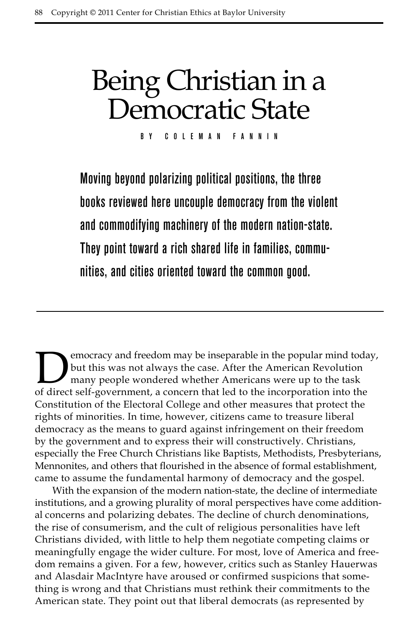## Being Christian in a Democratic State

By Coleman Fannin

Moving beyond polarizing political positions, the three books reviewed here uncouple democracy from the violent and commodifying machinery of the modern nation-state. They point toward a rich shared life in families, communities, and cities oriented toward the common good.

**Democracy and freedom may be inseparable in the popular mind today, but this was not always the case. After the American Revolution many people wondered whether Americans were up to the task of direct self-government a co** but this was not always the case. After the American Revolution many people wondered whether Americans were up to the task of direct self-government, a concern that led to the incorporation into the Constitution of the Electoral College and other measures that protect the rights of minorities. In time, however, citizens came to treasure liberal democracy as the means to guard against infringement on their freedom by the government and to express their will constructively. Christians, especially the Free Church Christians like Baptists, Methodists, Presbyterians, Mennonites, and others that flourished in the absence of formal establishment, came to assume the fundamental harmony of democracy and the gospel.

With the expansion of the modern nation-state, the decline of intermediate institutions, and a growing plurality of moral perspectives have come additional concerns and polarizing debates. The decline of church denominations, the rise of consumerism, and the cult of religious personalities have left Christians divided, with little to help them negotiate competing claims or meaningfully engage the wider culture. For most, love of America and freedom remains a given. For a few, however, critics such as Stanley Hauerwas and Alasdair MacIntyre have aroused or confirmed suspicions that something is wrong and that Christians must rethink their commitments to the American state. They point out that liberal democrats (as represented by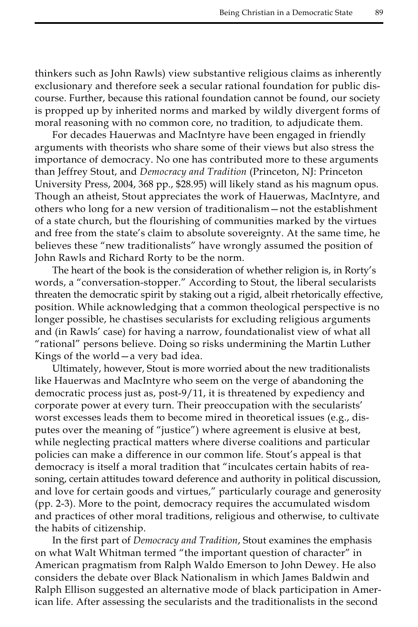thinkers such as John Rawls) view substantive religious claims as inherently exclusionary and therefore seek a secular rational foundation for public discourse. Further, because this rational foundation cannot be found, our society is propped up by inherited norms and marked by wildly divergent forms of moral reasoning with no common core, no tradition*,* to adjudicate them.

For decades Hauerwas and MacIntyre have been engaged in friendly arguments with theorists who share some of their views but also stress the importance of democracy. No one has contributed more to these arguments than Jeffrey Stout, and *Democracy and Tradition* (Princeton, NJ: Princeton University Press, 2004, 368 pp., \$28.95) will likely stand as his magnum opus. Though an atheist, Stout appreciates the work of Hauerwas, MacIntyre, and others who long for a new version of traditionalism—not the establishment of a state church, but the flourishing of communities marked by the virtues and free from the state's claim to absolute sovereignty. At the same time, he believes these "new traditionalists" have wrongly assumed the position of John Rawls and Richard Rorty to be the norm.

The heart of the book is the consideration of whether religion is, in Rorty's words, a "conversation-stopper." According to Stout, the liberal secularists threaten the democratic spirit by staking out a rigid, albeit rhetorically effective, position. While acknowledging that a common theological perspective is no longer possible, he chastises secularists for excluding religious arguments and (in Rawls' case) for having a narrow, foundationalist view of what all "rational" persons believe. Doing so risks undermining the Martin Luther Kings of the world—a very bad idea.

Ultimately, however, Stout is more worried about the new traditionalists like Hauerwas and MacIntyre who seem on the verge of abandoning the democratic process just as, post-9/11, it is threatened by expediency and corporate power at every turn. Their preoccupation with the secularists' worst excesses leads them to become mired in theoretical issues (e.g., disputes over the meaning of "justice") where agreement is elusive at best, while neglecting practical matters where diverse coalitions and particular policies can make a difference in our common life. Stout's appeal is that democracy is itself a moral tradition that "inculcates certain habits of reasoning, certain attitudes toward deference and authority in political discussion, and love for certain goods and virtues," particularly courage and generosity (pp. 2-3). More to the point, democracy requires the accumulated wisdom and practices of other moral traditions, religious and otherwise, to cultivate the habits of citizenship.

In the first part of *Democracy and Tradition*, Stout examines the emphasis on what Walt Whitman termed "the important question of character" in American pragmatism from Ralph Waldo Emerson to John Dewey. He also considers the debate over Black Nationalism in which James Baldwin and Ralph Ellison suggested an alternative mode of black participation in American life. After assessing the secularists and the traditionalists in the second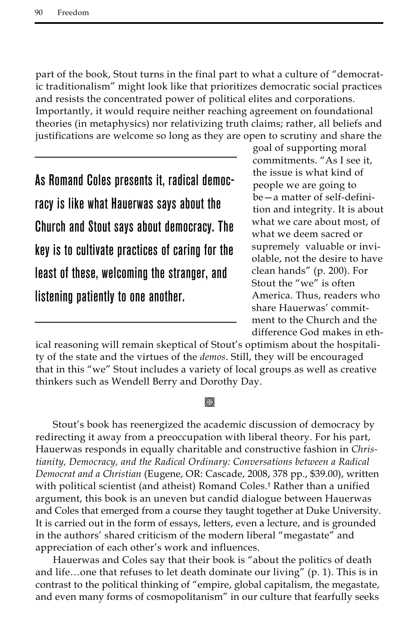part of the book, Stout turns in the final part to what a culture of "democratic traditionalism" might look like that prioritizes democratic social practices and resists the concentrated power of political elites and corporations. Importantly, it would require neither reaching agreement on foundational theories (in metaphysics) nor relativizing truth claims; rather, all beliefs and justifications are welcome so long as they are open to scrutiny and share the

As Romand Coles presents it, radical democracy is like what Hauerwas says about the Church and Stout says about democracy. The key is to cultivate practices of caring for the least of these, welcoming the stranger, and listening patiently to one another.

goal of supporting moral commitments. "As I see it, the issue is what kind of people we are going to be—a matter of self-definition and integrity. It is about what we care about most, of what we deem sacred or supremely valuable or inviolable, not the desire to have clean hands" (p. 200). For Stout the "we" is often America. Thus, readers who share Hauerwas' commitment to the Church and the difference God makes in eth-

ical reasoning will remain skeptical of Stout's optimism about the hospitality of the state and the virtues of the *demos*. Still, they will be encouraged that in this "we" Stout includes a variety of local groups as well as creative thinkers such as Wendell Berry and Dorothy Day.

## **翻**

Stout's book has reenergized the academic discussion of democracy by redirecting it away from a preoccupation with liberal theory. For his part, Hauerwas responds in equally charitable and constructive fashion in *Christianity, Democracy, and the Radical Ordinary: Conversations between a Radical Democrat and a Christian* (Eugene, OR: Cascade, 2008, 378 pp., \$39.00), written with political scientist (and atheist) Romand Coles.† Rather than a unified argument, this book is an uneven but candid dialogue between Hauerwas and Coles that emerged from a course they taught together at Duke University. It is carried out in the form of essays, letters, even a lecture, and is grounded in the authors' shared criticism of the modern liberal "megastate" and appreciation of each other's work and influences.

Hauerwas and Coles say that their book is "about the politics of death and life...one that refuses to let death dominate our living"  $(p, 1)$ . This is in contrast to the political thinking of "empire, global capitalism, the megastate, and even many forms of cosmopolitanism" in our culture that fearfully seeks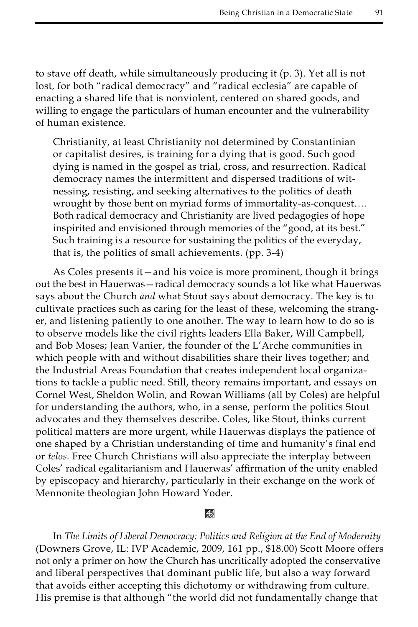to stave off death, while simultaneously producing it (p. 3). Yet all is not lost, for both "radical democracy" and "radical ecclesia" are capable of enacting a shared life that is nonviolent, centered on shared goods, and willing to engage the particulars of human encounter and the vulnerability of human existence.

Christianity, at least Christianity not determined by Constantinian or capitalist desires, is training for a dying that is good. Such good dying is named in the gospel as trial, cross, and resurrection. Radical democracy names the intermittent and dispersed traditions of witnessing, resisting, and seeking alternatives to the politics of death wrought by those bent on myriad forms of immortality-as-conquest…. Both radical democracy and Christianity are lived pedagogies of hope inspirited and envisioned through memories of the "good, at its best." Such training is a resource for sustaining the politics of the everyday, that is, the politics of small achievements. (pp. 3-4)

As Coles presents it—and his voice is more prominent, though it brings out the best in Hauerwas—radical democracy sounds a lot like what Hauerwas says about the Church *and* what Stout says about democracy. The key is to cultivate practices such as caring for the least of these, welcoming the stranger, and listening patiently to one another. The way to learn how to do so is to observe models like the civil rights leaders Ella Baker, Will Campbell, and Bob Moses; Jean Vanier, the founder of the L'Arche communities in which people with and without disabilities share their lives together; and the Industrial Areas Foundation that creates independent local organizations to tackle a public need. Still, theory remains important, and essays on Cornel West, Sheldon Wolin, and Rowan Williams (all by Coles) are helpful for understanding the authors, who, in a sense, perform the politics Stout advocates and they themselves describe. Coles, like Stout, thinks current political matters are more urgent, while Hauerwas displays the patience of one shaped by a Christian understanding of time and humanity's final end or *telos.* Free Church Christians will also appreciate the interplay between Coles' radical egalitarianism and Hauerwas' affirmation of the unity enabled by episcopacy and hierarchy, particularly in their exchange on the work of Mennonite theologian John Howard Yoder.

k)

In *The Limits of Liberal Democracy: Politics and Religion at the End of Modernity* (Downers Grove, IL: IVP Academic, 2009, 161 pp., \$18.00) Scott Moore offers not only a primer on how the Church has uncritically adopted the conservative and liberal perspectives that dominant public life, but also a way forward that avoids either accepting this dichotomy or withdrawing from culture. His premise is that although "the world did not fundamentally change that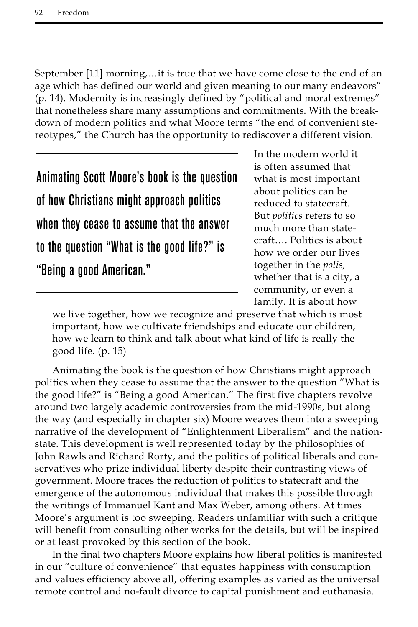September [11] morning,…it is true that we have come close to the end of an age which has defined our world and given meaning to our many endeavors" (p. 14). Modernity is increasingly defined by "political and moral extremes" that nonetheless share many assumptions and commitments. With the breakdown of modern politics and what Moore terms "the end of convenient stereotypes," the Church has the opportunity to rediscover a different vision.

Animating Scott Moore's book is the question of how Christians might approach politics when they cease to assume that the answer to the question "What is the good life?" is "Being a good American."

In the modern world it is often assumed that what is most important about politics can be reduced to statecraft. But *politics* refers to so much more than statecraft…. Politics is about how we order our lives together in the *polis,* whether that is a city, a community, or even a family. It is about how

we live together, how we recognize and preserve that which is most important, how we cultivate friendships and educate our children, how we learn to think and talk about what kind of life is really the good life. (p. 15)

Animating the book is the question of how Christians might approach politics when they cease to assume that the answer to the question "What is the good life?" is "Being a good American." The first five chapters revolve around two largely academic controversies from the mid-1990s, but along the way (and especially in chapter six) Moore weaves them into a sweeping narrative of the development of "Enlightenment Liberalism" and the nationstate. This development is well represented today by the philosophies of John Rawls and Richard Rorty, and the politics of political liberals and conservatives who prize individual liberty despite their contrasting views of government. Moore traces the reduction of politics to statecraft and the emergence of the autonomous individual that makes this possible through the writings of Immanuel Kant and Max Weber, among others. At times Moore's argument is too sweeping. Readers unfamiliar with such a critique will benefit from consulting other works for the details, but will be inspired or at least provoked by this section of the book.

In the final two chapters Moore explains how liberal politics is manifested in our "culture of convenience" that equates happiness with consumption and values efficiency above all, offering examples as varied as the universal remote control and no-fault divorce to capital punishment and euthanasia.